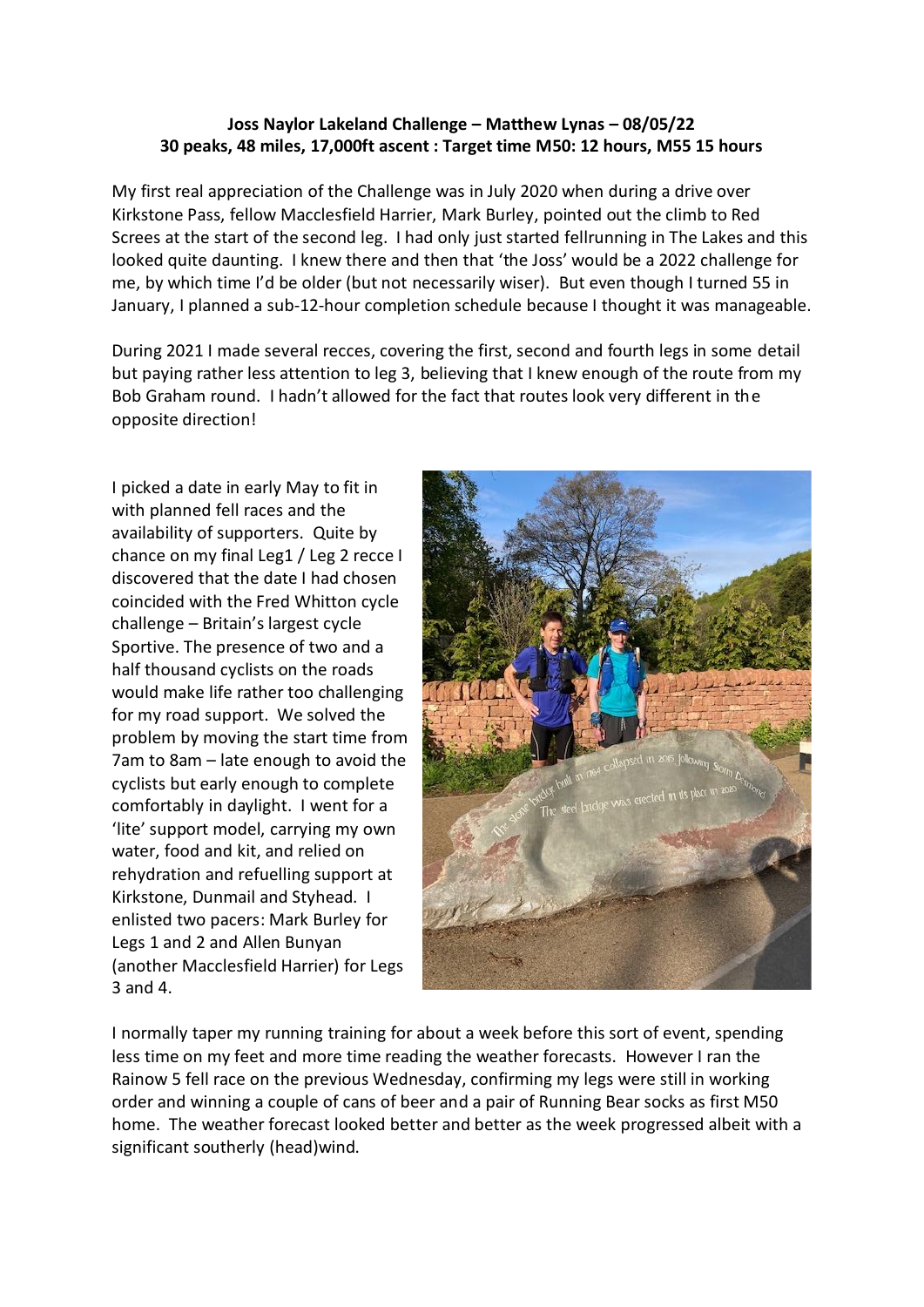## **Joss Naylor Lakeland Challenge – Matthew Lynas – 08/05/22 30 peaks, 48 miles, 17,000ft ascent : Target time M50: 12 hours, M55 15 hours**

My first real appreciation of the Challenge was in July 2020 when during a drive over Kirkstone Pass, fellow Macclesfield Harrier, Mark Burley, pointed out the climb to Red Screes at the start of the second leg. I had only just started fellrunning in The Lakes and this looked quite daunting. I knew there and then that 'the Joss' would be a 2022 challenge for me, by which time I'd be older (but not necessarily wiser). But even though I turned 55 in January, I planned a sub-12-hour completion schedule because I thought it was manageable.

During 2021 I made several recces, covering the first, second and fourth legs in some detail but paying rather less attention to leg 3, believing that I knew enough of the route from my Bob Graham round. I hadn't allowed for the fact that routes look very different in the opposite direction!

I picked a date in early May to fit in with planned fell races and the availability of supporters. Quite by chance on my final Leg1 / Leg 2 recce I discovered that the date I had chosen coincided with the Fred Whitton cycle challenge – Britain's largest cycle Sportive. The presence of two and a half thousand cyclists on the roads would make life rather too challenging for my road support. We solved the problem by moving the start time from 7am to 8am – late enough to avoid the cyclists but early enough to complete comfortably in daylight. I went for a 'lite' support model, carrying my own water, food and kit, and relied on rehydration and refuelling support at Kirkstone, Dunmail and Styhead. I enlisted two pacers: Mark Burley for Legs 1 and 2 and Allen Bunyan (another Macclesfield Harrier) for Legs 3 and 4.



I normally taper my running training for about a week before this sort of event, spending less time on my feet and more time reading the weather forecasts. However I ran the Rainow 5 fell race on the previous Wednesday, confirming my legs were still in working order and winning a couple of cans of beer and a pair of Running Bear socks as first M50 home. The weather forecast looked better and better as the week progressed albeit with a significant southerly (head)wind.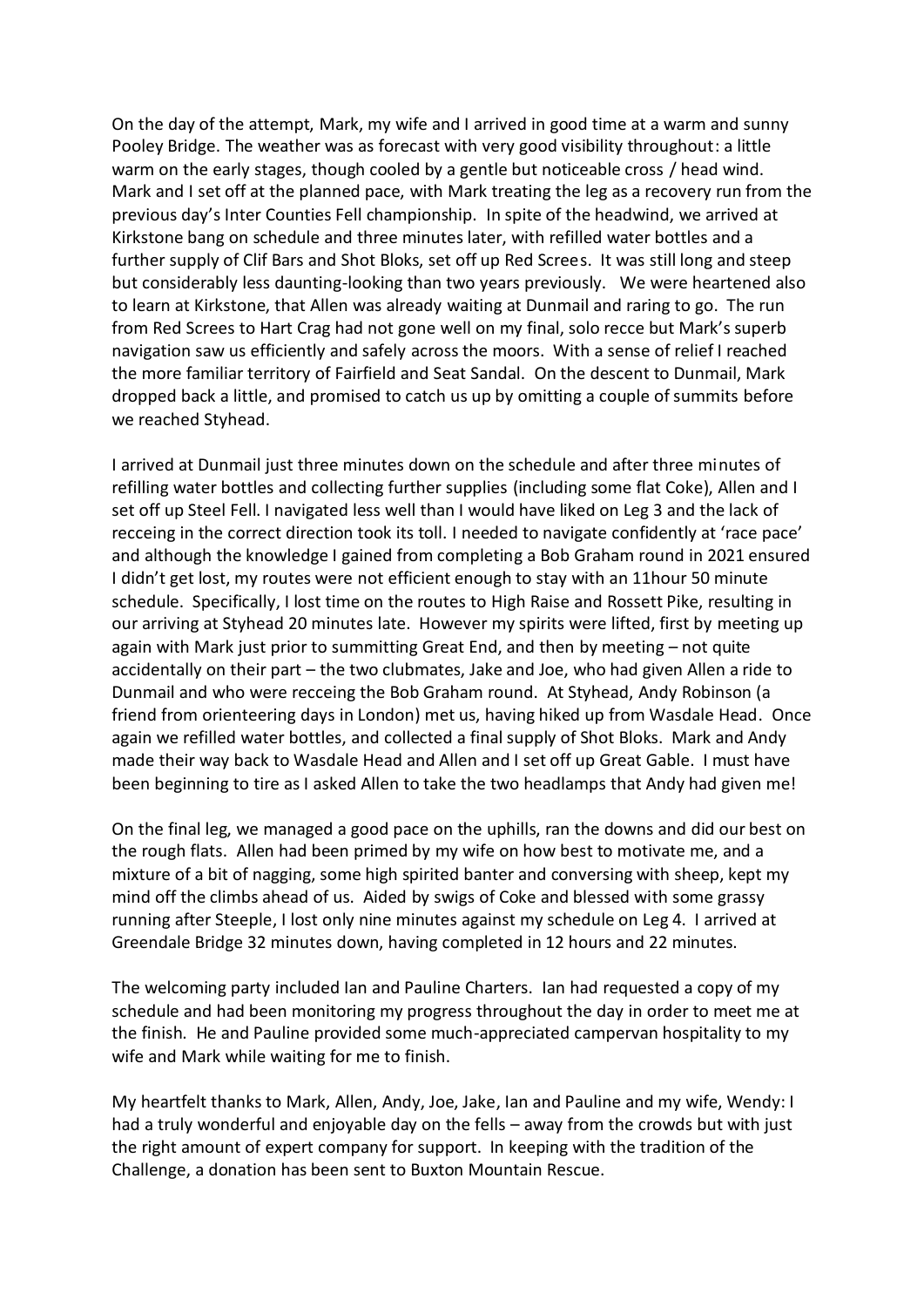On the day of the attempt, Mark, my wife and I arrived in good time at a warm and sunny Pooley Bridge. The weather was as forecast with very good visibility throughout: a little warm on the early stages, though cooled by a gentle but noticeable cross / head wind. Mark and I set off at the planned pace, with Mark treating the leg as a recovery run from the previous day's Inter Counties Fell championship. In spite of the headwind, we arrived at Kirkstone bang on schedule and three minutes later, with refilled water bottles and a further supply of Clif Bars and Shot Bloks, set off up Red Screes. It was still long and steep but considerably less daunting-looking than two years previously. We were heartened also to learn at Kirkstone, that Allen was already waiting at Dunmail and raring to go. The run from Red Screes to Hart Crag had not gone well on my final, solo recce but Mark's superb navigation saw us efficiently and safely across the moors. With a sense of relief I reached the more familiar territory of Fairfield and Seat Sandal. On the descent to Dunmail, Mark dropped back a little, and promised to catch us up by omitting a couple of summits before we reached Styhead.

I arrived at Dunmail just three minutes down on the schedule and after three minutes of refilling water bottles and collecting further supplies (including some flat Coke), Allen and I set off up Steel Fell. I navigated less well than I would have liked on Leg 3 and the lack of recceing in the correct direction took its toll. I needed to navigate confidently at 'race pace' and although the knowledge I gained from completing a Bob Graham round in 2021 ensured I didn't get lost, my routes were not efficient enough to stay with an 11hour 50 minute schedule. Specifically, I lost time on the routes to High Raise and Rossett Pike, resulting in our arriving at Styhead 20 minutes late. However my spirits were lifted, first by meeting up again with Mark just prior to summitting Great End, and then by meeting – not quite accidentally on their part – the two clubmates, Jake and Joe, who had given Allen a ride to Dunmail and who were recceing the Bob Graham round. At Styhead, Andy Robinson (a friend from orienteering days in London) met us, having hiked up from Wasdale Head. Once again we refilled water bottles, and collected a final supply of Shot Bloks. Mark and Andy made their way back to Wasdale Head and Allen and I set off up Great Gable. I must have been beginning to tire as I asked Allen to take the two headlamps that Andy had given me!

On the final leg, we managed a good pace on the uphills, ran the downs and did our best on the rough flats. Allen had been primed by my wife on how best to motivate me, and a mixture of a bit of nagging, some high spirited banter and conversing with sheep, kept my mind off the climbs ahead of us. Aided by swigs of Coke and blessed with some grassy running after Steeple, I lost only nine minutes against my schedule on Leg 4. I arrived at Greendale Bridge 32 minutes down, having completed in 12 hours and 22 minutes.

The welcoming party included Ian and Pauline Charters. Ian had requested a copy of my schedule and had been monitoring my progress throughout the day in order to meet me at the finish. He and Pauline provided some much-appreciated campervan hospitality to my wife and Mark while waiting for me to finish.

My heartfelt thanks to Mark, Allen, Andy, Joe, Jake, Ian and Pauline and my wife, Wendy: I had a truly wonderful and enjoyable day on the fells – away from the crowds but with just the right amount of expert company for support. In keeping with the tradition of the Challenge, a donation has been sent to Buxton Mountain Rescue.